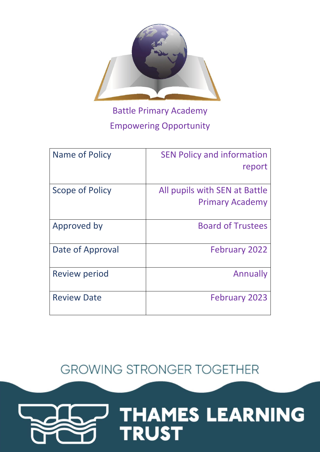

Battle Primary Academy Empowering Opportunity

| Name of Policy       | <b>SEN Policy and information</b> |
|----------------------|-----------------------------------|
|                      | report                            |
|                      |                                   |
| Scope of Policy      | All pupils with SEN at Battle     |
|                      | <b>Primary Academy</b>            |
|                      |                                   |
| Approved by          | <b>Board of Trustees</b>          |
|                      |                                   |
| Date of Approval     | <b>February 2022</b>              |
|                      |                                   |
| <b>Review period</b> | Annually                          |
|                      |                                   |
| <b>Review Date</b>   | <b>February 2023</b>              |
|                      |                                   |

**GROWING STRONGER TOGETHER** 

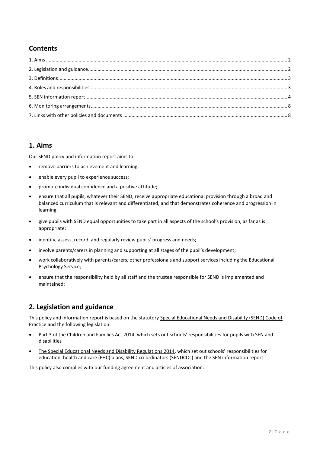# **Contents**

# <span id="page-1-0"></span>**1. Aims**

Our SEND policy and information report aims to:

- <span id="page-1-1"></span>remove barriers to achievement and learning;
- enable every pupil to experience success;
- promote individual confidence and a positive attitude;
- ensure that all pupils, whatever their SEND, receive appropriate educational provision through a broad and balanced curriculum that is relevant and differentiated, and that demonstrates coherence and progression in learning;
- give pupils with SEND equal opportunities to take part in all aspects of the school's provision, as far as is appropriate;
- identify, assess, record, and regularly review pupils' progress and needs;
- involve parents/carers in planning and supporting at all stages of the pupil's development;
- work collaboratively with parents/carers, other professionals and support services including the Educational Psychology Service;
- ensure that the responsibility held by all staff and the trustee responsible for SEND is implemented and maintained;

# **2. Legislation and guidance**

This policy and information report is based on the statutory Special Educational Needs and Disability (SEND) Code of [Practice](https://www.gov.uk/government/uploads/system/uploads/attachment_data/file/398815/SEND_Code_of_Practice_January_2015.pdf) and the following legislation:

- [Part 3 of the Children and Families Act 2014](http://www.legislation.gov.uk/ukpga/2014/6/part/3), which sets out schools' responsibilities for pupils with SEN and disabilities
- [The Special Educational Needs and Disability Regulations 2014](http://www.legislation.gov.uk/uksi/2014/1530/contents/made), which set out schools' responsibilities for education, health and care (EHC) plans, SEND co-ordinators (SENDCOs) and the SEN information report

<span id="page-1-2"></span>This policy also complies with our funding agreement and articles of association.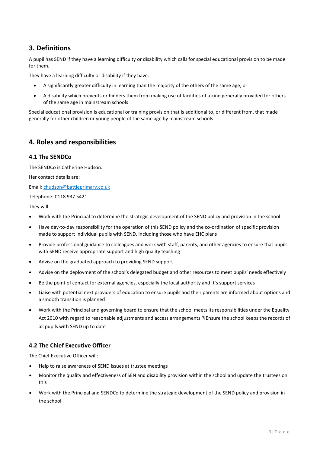# **3. Definitions**

A pupil has SEND if they have a learning difficulty or disability which calls for special educational provision to be made for them.

They have a learning difficulty or disability if they have:

- A significantly greater difficulty in learning than the majority of the others of the same age, or
- A disability which prevents or hinders them from making use of facilities of a kind generally provided for others of the same age in mainstream schools

Special educational provision is educational or training provision that is additional to, or different from, that made generally for other children or young people of the same age by mainstream schools.

# <span id="page-2-0"></span>**4. Roles and responsibilities**

## **4.1 The SENDCo**

The SENDCo is Catherine Hudson.

Her contact details are:

Email: [chudson@battleprimary.co.uk](mailto:chudson@battleprimary.co.uk)

Telephone: 0118 937 5421

They will:

- Work with the Principal to determine the strategic development of the SEND policy and provision in the school
- Have day-to-day responsibility for the operation of this SEND policy and the co-ordination of specific provision made to support individual pupils with SEND, including those who have EHC plans
- Provide professional guidance to colleagues and work with staff, parents, and other agencies to ensure that pupils with SEND receive appropriate support and high quality teaching
- Advise on the graduated approach to providing SEND support
- Advise on the deployment of the school's delegated budget and other resources to meet pupils' needs effectively
- Be the point of contact for external agencies, especially the local authority and it's support services
- Liaise with potential next providers of education to ensure pupils and their parents are informed about options and a smooth transition is planned
- Work with the Principal and governing board to ensure that the school meets its responsibilities under the Equality Act 2010 with regard to reasonable adjustments and access arrangements **II** Ensure the school keeps the records of all pupils with SEND up to date

# **4.2 The Chief Executive Officer**

The Chief Executive Officer will:

- Help to raise awareness of SEND issues at trustee meetings
- Monitor the quality and effectiveness of SEN and disability provision within the school and update the trustees on this
- Work with the Principal and SENDCo to determine the strategic development of the SEND policy and provision in the school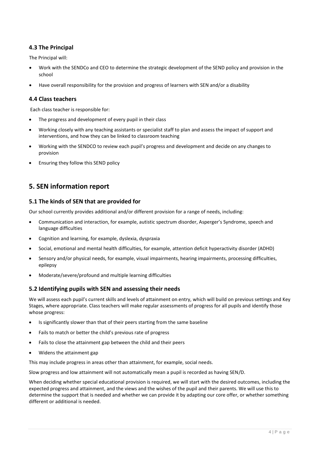# **4.3 The Principal**

The Principal will:

- Work with the SENDCo and CEO to determine the strategic development of the SEND policy and provision in the school
- Have overall responsibility for the provision and progress of learners with SEN and/or a disability

### **4.4 Class teachers**

Each class teacher is responsible for:

- The progress and development of every pupil in their class
- Working closely with any teaching assistants or specialist staff to plan and assess the impact of support and interventions, and how they can be linked to classroom teaching
- Working with the SENDCO to review each pupil's progress and development and decide on any changes to provision
- <span id="page-3-0"></span>Ensuring they follow this SEND policy

# **5. SEN information report**

#### **5.1 The kinds of SEN that are provided for**

Our school currently provides additional and/or different provision for a range of needs, including:

- Communication and interaction, for example, autistic spectrum disorder, Asperger's Syndrome, speech and language difficulties
- Cognition and learning, for example, dyslexia, dyspraxia
- Social, emotional and mental health difficulties, for example, attention deficit hyperactivity disorder (ADHD)
- Sensory and/or physical needs, for example, visual impairments, hearing impairments, processing difficulties, epilepsy
- Moderate/severe/profound and multiple learning difficulties

## **5.2 Identifying pupils with SEN and assessing their needs**

We will assess each pupil's current skills and levels of attainment on entry, which will build on previous settings and Key Stages, where appropriate. Class teachers will make regular assessments of progress for all pupils and identify those whose progress:

- Is significantly slower than that of their peers starting from the same baseline
- Fails to match or better the child's previous rate of progress
- Fails to close the attainment gap between the child and their peers
- Widens the attainment gap

This may include progress in areas other than attainment, for example, social needs.

Slow progress and low attainment will not automatically mean a pupil is recorded as having SEN/D.

When deciding whether special educational provision is required, we will start with the desired outcomes, including the expected progress and attainment, and the views and the wishes of the pupil and their parents. We will use this to determine the support that is needed and whether we can provide it by adapting our core offer, or whether something different or additional is needed.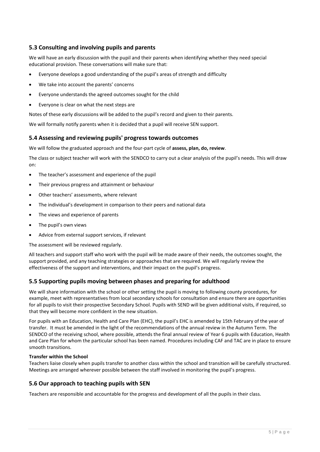## **5.3 Consulting and involving pupils and parents**

We will have an early discussion with the pupil and their parents when identifying whether they need special educational provision. These conversations will make sure that:

- Everyone develops a good understanding of the pupil's areas of strength and difficulty
- We take into account the parents' concerns
- Everyone understands the agreed outcomes sought for the child
- Everyone is clear on what the next steps are

Notes of these early discussions will be added to the pupil's record and given to their parents.

We will formally notify parents when it is decided that a pupil will receive SEN support.

### **5.4 Assessing and reviewing pupils' progress towards outcomes**

We will follow the graduated approach and the four-part cycle of **assess, plan, do, review**.

The class or subject teacher will work with the SENDCO to carry out a clear analysis of the pupil's needs. This will draw on:

- The teacher's assessment and experience of the pupil
- Their previous progress and attainment or behaviour
- Other teachers' assessments, where relevant
- The individual's development in comparison to their peers and national data
- The views and experience of parents
- The pupil's own views
- Advice from external support services, if relevant

The assessment will be reviewed regularly.

All teachers and support staff who work with the pupil will be made aware of their needs, the outcomes sought, the support provided, and any teaching strategies or approaches that are required. We will regularly review the effectiveness of the support and interventions, and their impact on the pupil's progress.

#### **5.5 Supporting pupils moving between phases and preparing for adulthood**

We will share information with the school or other setting the pupil is moving to following county procedures, for example, meet with representatives from local secondary schools for consultation and ensure there are opportunities for all pupils to visit their prospective Secondary School. Pupils with SEND will be given additional visits, if required, so that they will become more confident in the new situation.

For pupils with an Education, Health and Care Plan (EHC), the pupil's EHC is amended by 15th February of the year of transfer. It must be amended in the light of the recommendations of the annual review in the Autumn Term. The SENDCO of the receiving school, where possible, attends the final annual review of Year 6 pupils with Education, Health and Care Plan for whom the particular school has been named. Procedures including CAF and TAC are in place to ensure smooth transitions.

#### **Transfer within the School**

Teachers liaise closely when pupils transfer to another class within the school and transition will be carefully structured. Meetings are arranged wherever possible between the staff involved in monitoring the pupil's progress.

#### **5.6 Our approach to teaching pupils with SEN**

Teachers are responsible and accountable for the progress and development of all the pupils in their class.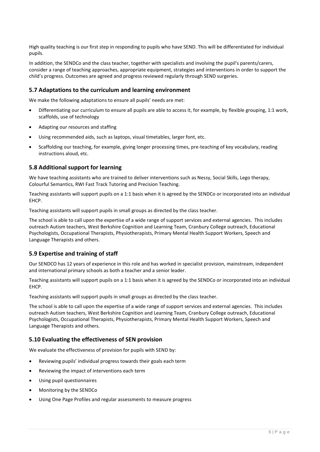High quality teaching is our first step in responding to pupils who have SEND. This will be differentiated for individual pupils.

In addition, the SENDCo and the class teacher, together with specialists and involving the pupil's parents/carers, consider a range of teaching approaches, appropriate equipment, strategies and interventions in order to support the child's progress. Outcomes are agreed and progress reviewed regularly through SEND surgeries.

### **5.7 Adaptations to the curriculum and learning environment**

We make the following adaptations to ensure all pupils' needs are met:

- Differentiating our curriculum to ensure all pupils are able to access it, for example, by flexible grouping, 1:1 work, scaffolds, use of technology
- Adapting our resources and staffing
- Using recommended aids, such as laptops, visual timetables, larger font, etc.
- Scaffolding our teaching, for example, giving longer processing times, pre-teaching of key vocabulary, reading instructions aloud, etc.

### **5.8 Additional support for learning**

We have teaching assistants who are trained to deliver interventions such as Nessy, Social Skills, Lego therapy, Colourful Semantics, RWI Fast Track Tutoring and Precision Teaching.

Teaching assistants will support pupils on a 1:1 basis when it is agreed by the SENDCo or incorporated into an individual EHCP.

Teaching assistants will support pupils in small groups as directed by the class teacher.

The school is able to call upon the expertise of a wide range of support services and external agencies. This includes outreach Autism teachers, West Berkshire Cognition and Learning Team, Cranbury College outreach, Educational Psychologists, Occupational Therapists, Physiotherapists, Primary Mental Health Support Workers, Speech and Language Therapists and others.

#### **5.9 Expertise and training of staff**

Our SENDCO has 12 years of experience in this role and has worked in specialist provision, mainstream, independent and international primary schools as both a teacher and a senior leader.

Teaching assistants will support pupils on a 1:1 basis when it is agreed by the SENDCo or incorporated into an individual EHCP.

Teaching assistants will support pupils in small groups as directed by the class teacher.

The school is able to call upon the expertise of a wide range of support services and external agencies. This includes outreach Autism teachers, West Berkshire Cognition and Learning Team, Cranbury College outreach, Educational Psychologists, Occupational Therapists, Physiotherapists, Primary Mental Health Support Workers, Speech and Language Therapists and others.

#### **5.10 Evaluating the effectiveness of SEN provision**

We evaluate the effectiveness of provision for pupils with SEND by:

- Reviewing pupils' individual progress towards their goals each term
- Reviewing the impact of interventions each term
- Using pupil questionnaires
- Monitoring by the SENDCo
- Using One Page Profiles and regular assessments to measure progress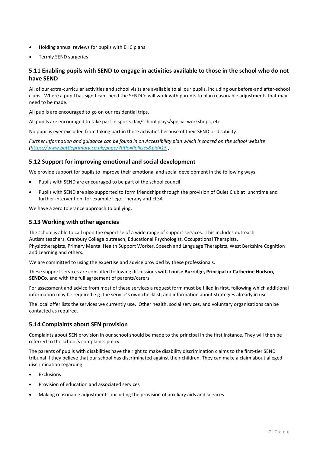- Holding annual reviews for pupils with EHC plans
- Termly SEND surgeries

# **5.11 Enabling pupils with SEND to engage in activities available to those in the school who do not have SEND**

All of our extra-curricular activities and school visits are available to all our pupils, including our before-and after-school clubs. Where a pupil has significant need the SENDCo will work with parents to plan reasonable adjustments that may need to be made.

All pupils are encouraged to go on our residential trips.

All pupils are encouraged to take part in sports day/school plays/special workshops, etc

No pupil is ever excluded from taking part in these activities because of their SEND or disability.

*Further information and guidance can be found in on Accessibility plan which is shared on the school website [\(https://www.battleprimary.co.uk/page/?title=Policies&pid=15](https://www.battleprimary.co.uk/page/?title=Policies&pid=15) [\)](https://www.battleprimary.co.uk/page/?title=Policies&pid=15)* 

## **5.12 Support for improving emotional and social development**

We provide support for pupils to improve their emotional and social development in the following ways:

- Pupils with SEND are encouraged to be part of the school council
- Pupils with SEND are also supported to form friendships through the provision of Quiet Club at lunchtime and further intervention, for example Lego Therapy and ELSA

We have a zero tolerance approach to bullying.

#### **5.13 Working with other agencies**

The school is able to call upon the expertise of a wide range of support services. This includes outreach Autism teachers, Cranbury College outreach, Educational Psychologist, Occupational Therapists, Physiotherapists, Primary Mental Health Support Worker, Speech and Language Therapists, West Berkshire Cognition and Learning and others.

We are committed to using the expertise and advice provided by these professionals.

These support services are consulted following discussions with **Louise Burridge, Principal** or **Catherine Hudson, SENDCo**, and with the full agreement of parents/carers.

For assessment and advice from most of these services a request form must be filled in first, following which additional information may be required e.g. the service's own checklist, and information about strategies already in use.

The local offer lists the services we currently use. Other health, social services, and voluntary organisations can be contacted as required.

## **5.14 Complaints about SEN provision**

Complaints about SEN provision in our school should be made to the principal in the first instance. They will then be referred to the school's complaints policy.

The parents of pupils with disabilities have the right to make disability discrimination claims to the first-tier SEND tribunal if they believe that our school has discriminated against their children. They can make a claim about alleged discrimination regarding:

- Exclusions
- Provision of education and associated services
- Making reasonable adjustments, including the provision of auxiliary aids and services